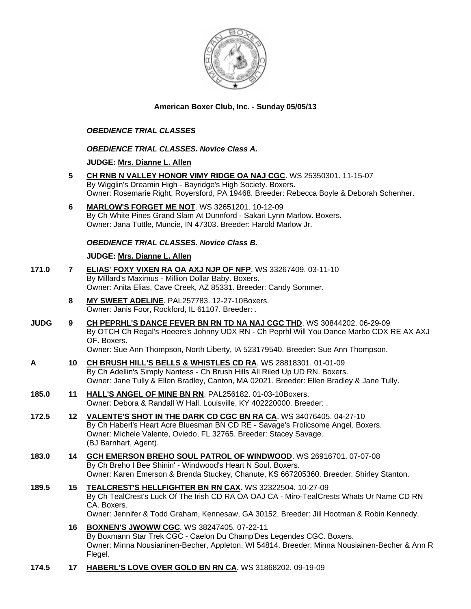

# **American Boxer Club, Inc. - Sunday 05/05/13**

## *OBEDIENCE TRIAL CLASSES*

### *OBEDIENCE TRIAL CLASSES. Novice Class A.*

### **JUDGE: [Mrs. Dianne L. Allen](http://www.infodog.com/judges/5494/juddat.htm)**

- **5 [CH RNB N VALLEY HONOR VIMY RIDGE OA NAJ CGC](http://www.infodog.com/files/bdogrsl1.prg;makc=WS%2025350301;mdog=Ch_RNB_N_Valley_Honor_Vimy_Ridge_OA_NAJ_CGC;wins=all)**. WS 25350301. 11-15-07 By Wigglin's Dreamin High - Bayridge's High Society. Boxers. Owner: Rosemarie Right, Royersford, PA 19468. Breeder: Rebecca Boyle & Deborah Schenher.
- **6 [MARLOW'S FORGET ME NOT](http://www.infodog.com/files/bdogrsl1.prg;makc=WS%2032651201;mdog=Marlow_s_Forget_Me_Not;wins=all)**. WS 32651201. 10-12-09 By Ch White Pines Grand Slam At Dunnford - Sakari Lynn Marlow. Boxers. Owner: Jana Tuttle, Muncie, IN 47303. Breeder: Harold Marlow Jr.

### *OBEDIENCE TRIAL CLASSES. Novice Class B.*

### **JUDGE: [Mrs. Dianne L. Allen](http://www.infodog.com/judges/5494/juddat.htm)**

- **171.0 7 [ELIAS' FOXY VIXEN RA OA AXJ NJP OF NFP](http://www.infodog.com/files/bdogrsl1.prg;makc=WS%2033267409;mdog=Elias__Foxy_Vixen_RA_OA_AXJ_NJP_OF_NFP;wins=all)**. WS 33267409. 03-11-10 By Millard's Maximus - Million Dollar Baby. Boxers. Owner: Anita Elias, Cave Creek, AZ 85331. Breeder: Candy Sommer.
	- **8 [MY SWEET ADELINE](http://www.infodog.com/files/bdogrsl1.prg;makc=PAL257783;mdog=My_Sweet_Adeline;wins=all)**. PAL257783. 12-27-10Boxers. Owner: Janis Foor, Rockford, IL 61107. Breeder: .
- **JUDG 9 [CH PEPRHL'S DANCE FEVER BN RN TD NA NAJ CGC THD](http://www.infodog.com/files/bdogrsl1.prg;makc=WS%2030844202;mdog=Ch_Peprhl_s_Dance_Fever_BN_RN_TD_NA_NAJ_CGC_THD;wins=all)**. WS 30844202. 06-29-09 By OTCH Ch Regal's Heeere's Johnny UDX RN - Ch Peprhl Will You Dance Marbo CDX RE AX AXJ OF. Boxers.
	- Owner: Sue Ann Thompson, North Liberty, IA 523179540. Breeder: Sue Ann Thompson.
- **A 10 [CH BRUSH HILL'S BELLS & WHISTLES CD RA](http://www.infodog.com/files/bdogrsl1.prg;makc=WS%2028818301;mdog=Ch_Brush_Hill_s_Bells_&_Whistles_CD_RA;wins=all)**. WS 28818301. 01-01-09 By Ch Adellin's Simply Nantess - Ch Brush Hills All Riled Up UD RN. Boxers. Owner: Jane Tully & Ellen Bradley, Canton, MA 02021. Breeder: Ellen Bradley & Jane Tully.
- **185.0 11 [HALL'S ANGEL OF MINE BN RN](http://www.infodog.com/files/bdogrsl1.prg;makc=PAL256182;mdog=Hall_s_Angel_Of_Mine_BN_RN;wins=all)**. PAL256182. 01-03-10Boxers. Owner: Debora & Randall W Hall, Louisville, KY 402220000. Breeder: .
- **172.5 12 [VALENTE'S SHOT IN THE DARK CD CGC BN RA CA](http://www.infodog.com/files/bdogrsl1.prg;makc=WS%2034076405;mdog=Valente_s_Shot_In_The_Dark_CD_CGC_BN_RA_CA;wins=all)**. WS 34076405. 04-27-10 By Ch Haberl's Heart Acre Bluesman BN CD RE - Savage's Frolicsome Angel. Boxers. Owner: Michele Valente, Oviedo, FL 32765. Breeder: Stacey Savage. (BJ Barnhart, Agent).
- **183.0 14 [GCH EMERSON BREHO SOUL PATROL OF WINDWOOD](http://www.infodog.com/files/bdogrsl1.prg;makc=WS%2026916701;mdog=GCH_Emerson_Breho_Soul_Patrol_Of_Windwood;wins=all)**. WS 26916701. 07-07-08 By Ch Breho I Bee Shinin' - Windwood's Heart N Soul. Boxers. Owner: Karen Emerson & Brenda Stuckey, Chanute, KS 667205360. Breeder: Shirley Stanton.
- **189.5 15 [TEALCREST'S HELLFIGHTER BN RN CAX](http://www.infodog.com/files/bdogrsl1.prg;makc=WS%2032322504;mdog=TealCrest_s_Hellfighter_BN_RN_CAX;wins=all)**. WS 32322504. 10-27-09 By Ch TealCrest's Luck Of The Irish CD RA OA OAJ CA - Miro-TealCrests Whats Ur Name CD RN CA. Boxers. Owner: Jennifer & Todd Graham, Kennesaw, GA 30152. Breeder: Jill Hootman & Robin Kennedy.
	- **16 [BOXNEN'S JWOWW CGC](http://www.infodog.com/files/bdogrsl1.prg;makc=WS%2038247405;mdog=Boxnen_s_Jwoww_CGC;wins=all)**. WS 38247405. 07-22-11 By Boxmann Star Trek CGC - Caelon Du Champ'Des Legendes CGC. Boxers. Owner: Minna Nousianinen-Becher, Appleton, WI 54814. Breeder: Minna Nousiainen-Becher & Ann R Flegel.
- **174.5 17 [HABERL'S LOVE OVER GOLD BN RN CA](http://www.infodog.com/files/bdogrsl1.prg;makc=WS%2031868202;mdog=Haberl_s_Love_Over_Gold_BN_RN_CA;wins=all)**. WS 31868202. 09-19-09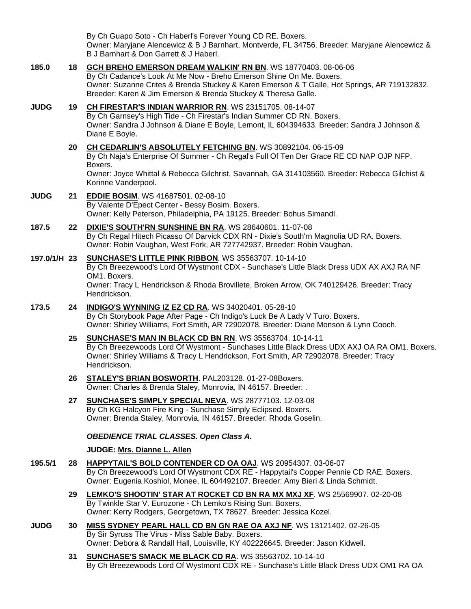By Ch Guapo Soto - Ch Haberl's Forever Young CD RE. Boxers. Owner: Maryjane Alencewicz & B J Barnhart, Montverde, FL 34756. Breeder: Maryjane Alencewicz & B J Barnhart & Don Garrett & J Haberl.

- **185.0 18 [GCH BREHO EMERSON DREAM WALKIN' RN BN](http://www.infodog.com/files/bdogrsl1.prg;makc=WS%2018770403;mdog=GCH_Breho_Emerson_Dream_Walkin__RN_BN;wins=all)**. WS 18770403. 08-06-06 By Ch Cadance's Look At Me Now - Breho Emerson Shine On Me. Boxers. Owner: Suzanne Crites & Brenda Stuckey & Karen Emerson & T Galle, Hot Springs, AR 719132832. Breeder: Karen & Jim Emerson & Brenda Stuckey & Theresa Galle.
- **JUDG 19 [CH FIRESTAR'S INDIAN WARRIOR RN](http://www.infodog.com/files/bdogrsl1.prg;makc=WS%2023151705;mdog=Ch_Firestar_s_Indian_Warrior_RN;wins=all)**. WS 23151705. 08-14-07 By Ch Garnsey's High Tide - Ch Firestar's Indian Summer CD RN. Boxers. Owner: Sandra J Johnson & Diane E Boyle, Lemont, IL 604394633. Breeder: Sandra J Johnson & Diane E Boyle.
	- **20 [CH CEDARLIN'S ABSOLUTELY FETCHING BN](http://www.infodog.com/files/bdogrsl1.prg;makc=WS%2030892104;mdog=Ch_Cedarlin_s_Absolutely_Fetching_BN;wins=all)**. WS 30892104. 06-15-09 By Ch Naja's Enterprise Of Summer - Ch Regal's Full Of Ten Der Grace RE CD NAP OJP NFP. Boxers. Owner: Joyce Whittal & Rebecca Gilchrist, Savannah, GA 314103560. Breeder: Rebecca Gilchist & Korinne Vanderpool.
- **JUDG 21 [EDDIE BOSIM](http://www.infodog.com/files/bdogrsl1.prg;makc=WS%2041687501;mdog=Eddie_Bosim;wins=all)**. WS 41687501. 02-08-10 By Valente D'Epect Center - Bessy Bosim. Boxers. Owner: Kelly Peterson, Philadelphia, PA 19125. Breeder: Bohus Simandl.
- **187.5 22 [DIXIE'S SOUTH'RN SUNSHINE BN RA](http://www.infodog.com/files/bdogrsl1.prg;makc=WS%2028640601;mdog=Dixie_s_South_rn_Sunshine_BN_RA;wins=all)**. WS 28640601. 11-07-08 By Ch Regal Hitech Picasso Of Darvick CDX RN - Dixie's South'rn Magnolia UD RA. Boxers. Owner: Robin Vaughan, West Fork, AR 727742937. Breeder: Robin Vaughan.
- **197.0/1/H 23 [SUNCHASE'S LITTLE PINK RIBBON](http://www.infodog.com/files/bdogrsl1.prg;makc=WS%2035563707;mdog=Sunchase_s_Little_Pink_Ribbon;wins=all)**. WS 35563707. 10-14-10 By Ch Breezewood's Lord Of Wystmont CDX - Sunchase's Little Black Dress UDX AX AXJ RA NF OM1. Boxers. Owner: Tracy L Hendrickson & Rhoda Brovillete, Broken Arrow, OK 740129426. Breeder: Tracy Hendrickson.
- **173.5 24 [INDIGO'S WYNNING IZ EZ CD RA](http://www.infodog.com/files/bdogrsl1.prg;makc=WS%2034020401;mdog=Indigo_s_Wynning_Iz_Ez_CD_RA;wins=all)**. WS 34020401. 05-28-10 By Ch Storybook Page After Page - Ch Indigo's Luck Be A Lady V Turo. Boxers. Owner: Shirley Williams, Fort Smith, AR 72902078. Breeder: Diane Monson & Lynn Cooch.
	- **25 [SUNCHASE'S MAN IN BLACK CD BN RN](http://www.infodog.com/files/bdogrsl1.prg;makc=WS%2035563704;mdog=Sunchase_s_Man_In_Black_CD_BN_RN;wins=all)**. WS 35563704. 10-14-11 By Ch Breezewoods Lord Of Wystmont - Sunchases Little Black Dress UDX AXJ OA RA OM1. Boxers. Owner: Shirley Williams & Tracy L Hendrickson, Fort Smith, AR 72902078. Breeder: Tracy Hendrickson.
	- **26 [STALEY'S BRIAN BOSWORTH](http://www.infodog.com/files/bdogrsl1.prg;makc=PAL203128;mdog=Staley_s_Brian_Bosworth;wins=all)**. PAL203128. 01-27-08Boxers. Owner: Charles & Brenda Staley, Monrovia, IN 46157. Breeder: .
	- **27 [SUNCHASE'S SIMPLY SPECIAL NEVA](http://www.infodog.com/files/bdogrsl1.prg;makc=WS%2028777103;mdog=Sunchase_s_Simply_Special_Neva;wins=all)**. WS 28777103. 12-03-08 By Ch KG Halcyon Fire King - Sunchase Simply Eclipsed. Boxers. Owner: Brenda Staley, Monrovia, IN 46157. Breeder: Rhoda Goselin.

# *OBEDIENCE TRIAL CLASSES. Open Class A.*

# **JUDGE: [Mrs. Dianne L. Allen](http://www.infodog.com/judges/5494/juddat.htm)**

- **195.5/1 28 [HAPPYTAIL'S BOLD CONTENDER CD OA OAJ](http://www.infodog.com/files/bdogrsl1.prg;makc=WS%2020954307;mdog=Happytail_s_Bold_Contender_CD_OA_OAJ;wins=all)**. WS 20954307. 03-06-07 By Ch Breezewood's Lord Of Wystmont CDX RE - Happytail's Copper Pennie CD RAE. Boxers. Owner: Eugenia Koshiol, Monee, IL 604492107. Breeder: Amy Bieri & Linda Schmidt.
	- **29 [LEMKO'S SHOOTIN' STAR AT ROCKET CD BN RA MX MXJ XF](http://www.infodog.com/files/bdogrsl1.prg;makc=WS%2025569907;mdog=Lemko_s_Shootin__Star_At_Rocket_CD_BN_RA_MX_MXJ_XF;wins=all)**. WS 25569907. 02-20-08 By Twinkle Star V. Eurozone - Ch Lemko's Rising Sun. Boxers. Owner: Kerry Rodgers, Georgetown, TX 78627. Breeder: Jessica Kozel.
- **JUDG 30 [MISS SYDNEY PEARL HALL CD BN GN RAE OA AXJ NF](http://www.infodog.com/files/bdogrsl1.prg;makc=WS%2013121402;mdog=Miss_Sydney_Pearl_Hall_CD_BN_GN_RAE_OA_AXJ_NF;wins=all)**. WS 13121402. 02-26-05 By Sir Syruss The Virus - Miss Sable Baby. Boxers. Owner: Debora & Randall Hall, Louisville, KY 402226645. Breeder: Jason Kidwell.
	- **31 [SUNCHASE'S SMACK ME BLACK CD RA](http://www.infodog.com/files/bdogrsl1.prg;makc=WS%2035563702;mdog=Sunchase_s_Smack_Me_Black_CD_RA;wins=all)**. WS 35563702. 10-14-10 By Ch Breezewoods Lord Of Wystmont CDX RE - Sunchase's Little Black Dress UDX OM1 RA OA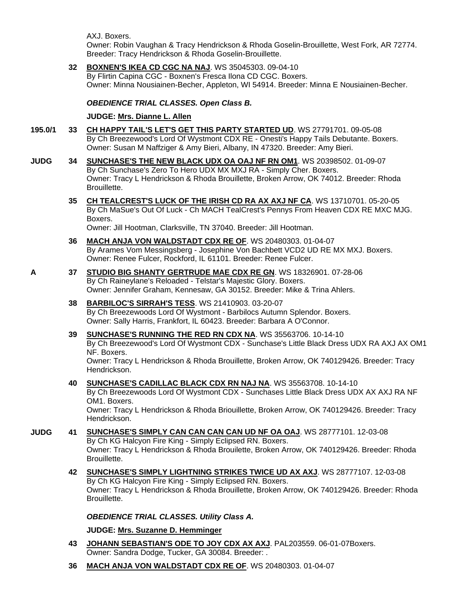AXJ. Boxers.

Hendrickson.

Owner: Robin Vaughan & Tracy Hendrickson & Rhoda Goselin-Brouillette, West Fork, AR 72774. Breeder: Tracy Hendrickson & Rhoda Goselin-Brouillette.

# **32 [BOXNEN'S IKEA CD CGC NA NAJ](http://www.infodog.com/files/bdogrsl1.prg;makc=WS%2035045303;mdog=Boxnen_s_Ikea_CD_CGC_NA_NAJ;wins=all)**. WS 35045303. 09-04-10

By Flirtin Capina CGC - Boxnen's Fresca Ilona CD CGC. Boxers. Owner: Minna Nousiainen-Becher, Appleton, WI 54914. Breeder: Minna E Nousiainen-Becher.

# *OBEDIENCE TRIAL CLASSES. Open Class B.*

# **JUDGE: [Mrs. Dianne L. Allen](http://www.infodog.com/judges/5494/juddat.htm)**

- **195.0/1 33 [CH HAPPY TAIL'S LET'S GET THIS PARTY STARTED UD](http://www.infodog.com/files/bdogrsl1.prg;makc=WS%2027791701;mdog=Ch_Happy_Tail_s_Let_s_Get_This_Party_Started_UD;wins=all)**. WS 27791701. 09-05-08 By Ch Breezewood's Lord Of Wystmont CDX RE - Onesti's Happy Tails Debutante. Boxers. Owner: Susan M Naffziger & Amy Bieri, Albany, IN 47320. Breeder: Amy Bieri.
- **JUDG 34 [SUNCHASE'S THE NEW BLACK UDX OA OAJ NF RN OM1](http://www.infodog.com/files/bdogrsl1.prg;makc=WS%2020398502;mdog=Sunchase_s_The_New_Black_UDX_OA_OAJ_NF_RN_OM1;wins=all)**. WS 20398502. 01-09-07 By Ch Sunchase's Zero To Hero UDX MX MXJ RA - Simply Cher. Boxers. Owner: Tracy L Hendrickson & Rhoda Brouillette, Broken Arrow, OK 74012. Breeder: Rhoda Brouillette.
	- **35 [CH TEALCREST'S LUCK OF THE IRISH CD RA AX AXJ NF CA](http://www.infodog.com/files/bdogrsl1.prg;makc=WS%2013710701;mdog=Ch_TealCrest_s_Luck_Of_The_Irish_CD_RA_AX_AXJ_NF_CA;wins=all)**. WS 13710701. 05-20-05 By Ch MaSue's Out Of Luck - Ch MACH TealCrest's Pennys From Heaven CDX RE MXC MJG. Boxers.

Owner: Jill Hootman, Clarksville, TN 37040. Breeder: Jill Hootman.

- **36 [MACH ANJA VON WALDSTADT CDX RE OF](http://www.infodog.com/files/bdogrsl1.prg;makc=WS%2020480303;mdog=MACH_Anja_Von_Waldstadt_CDX_RE_OF;wins=all)**. WS 20480303. 01-04-07 By Arames Vom Messingsberg - Josephine Von Bachbett VCD2 UD RE MX MXJ. Boxers. Owner: Renee Fulcer, Rockford, IL 61101. Breeder: Renee Fulcer.
- **A 37 [STUDIO BIG SHANTY GERTRUDE MAE CDX RE GN](http://www.infodog.com/files/bdogrsl1.prg;makc=WS%2018326901;mdog=Studio_Big_Shanty_Gertrude_Mae_CDX_RE_GN;wins=all)**. WS 18326901. 07-28-06 By Ch Raineylane's Reloaded - Telstar's Majestic Glory. Boxers. Owner: Jennifer Graham, Kennesaw, GA 30152. Breeder: Mike & Trina Ahlers.
	- **38 [BARBILOC'S SIRRAH'S TESS](http://www.infodog.com/files/bdogrsl1.prg;makc=WS%2021410903;mdog=Barbiloc_s_Sirrah_s_Tess;wins=all)**. WS 21410903. 03-20-07 By Ch Breezewoods Lord Of Wystmont - Barbilocs Autumn Splendor. Boxers. Owner: Sally Harris, Frankfort, IL 60423. Breeder: Barbara A O'Connor.
	- **39 [SUNCHASE'S RUNNING THE RED RN CDX NA](http://www.infodog.com/files/bdogrsl1.prg;makc=WS%2035563706;mdog=Sunchase_s_Running_The_Red_RN_CDX_NA;wins=all)**. WS 35563706. 10-14-10 By Ch Breezewood's Lord Of Wystmont CDX - Sunchase's Little Black Dress UDX RA AXJ AX OM1 NF. Boxers. Owner: Tracy L Hendrickson & Rhoda Brouillette, Broken Arrow, OK 740129426. Breeder: Tracy
	- **40 [SUNCHASE'S CADILLAC BLACK CDX RN NAJ NA](http://www.infodog.com/files/bdogrsl1.prg;makc=WS%2035563708;mdog=Sunchase_s_Cadillac_Black_CDX_RN_NAJ_NA;wins=all)**. WS 35563708. 10-14-10 By Ch Breezewoods Lord Of Wystmont CDX - Sunchases Little Black Dress UDX AX AXJ RA NF OM1. Boxers. Owner: Tracy L Hendrickson & Rhoda Briouillette, Broken Arrow, OK 740129426. Breeder: Tracy Hendrickson.
- **JUDG 41 [SUNCHASE'S SIMPLY CAN CAN CAN CAN UD NF OA OAJ](http://www.infodog.com/files/bdogrsl1.prg;makc=WS%2028777101;mdog=Sunchase_s_Simply_Can_Can_Can_Can_UD_NF_OA_OAJ;wins=all)**. WS 28777101. 12-03-08 By Ch KG Halcyon Fire King - Simply Eclipsed RN. Boxers. Owner: Tracy L Hendrickson & Rhoda Brouilette, Broken Arrow, OK 740129426. Breeder: Rhoda Brouillette.
	- **42 [SUNCHASE'S SIMPLY LIGHTNING STRIKES TWICE UD AX AXJ](http://www.infodog.com/files/bdogrsl1.prg;makc=WS%2028777107;mdog=Sunchase_s_Simply_Lightning_Strikes_Twice_UD_AX_AXJ;wins=all)**. WS 28777107. 12-03-08 By Ch KG Halcyon Fire King - Simply Eclipsed RN. Boxers. Owner: Tracy L Hendrickson & Rhoda Brouillette, Broken Arrow, OK 740129426. Breeder: Rhoda Brouillette.

*OBEDIENCE TRIAL CLASSES. Utility Class A.*

**JUDGE: [Mrs. Suzanne D. Hemminger](http://www.infodog.com/judges/15146/juddat.htm)**

- **43 [JOHANN SEBASTIAN'S ODE TO](http://www.infodog.com/files/bdogrsl1.prg;makc=PAL203559;mdog=Johann_Sebastian_s_Ode_To_Joy_CDX_AX_AXJ;wins=all) JOY CDX AX AXJ**. PAL203559. 06-01-07Boxers. Owner: Sandra Dodge, Tucker, GA 30084. Breeder: .
- **36 [MACH ANJA VON WALDSTADT CDX RE OF](http://www.infodog.com/files/bdogrsl1.prg;makc=WS%2020480303;mdog=MACH_Anja_Von_Waldstadt_CDX_RE_OF;wins=all)**. WS 20480303. 01-04-07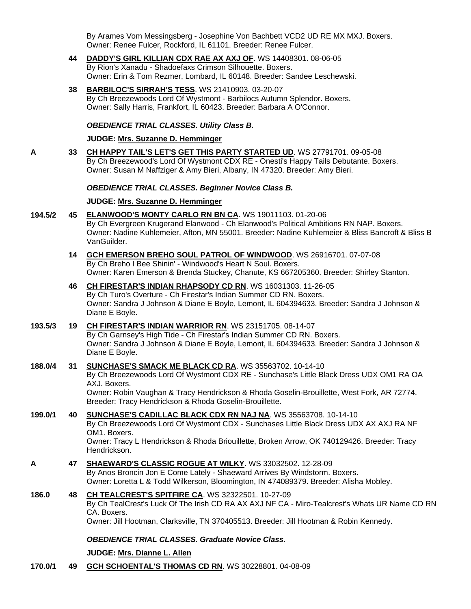By Arames Vom Messingsberg - Josephine Von Bachbett VCD2 UD RE MX MXJ. Boxers. Owner: Renee Fulcer, Rockford, IL 61101. Breeder: Renee Fulcer.

- **44 [DADDY'S GIRL KILLIAN CDX RAE AX AXJ OF](http://www.infodog.com/files/bdogrsl1.prg;makc=WS%2014408301;mdog=Daddy_s_Girl_Killian_CDX_RAE_AX_AXJ_OF;wins=all)**. WS 14408301. 08-06-05 By Rion's Xanadu - Shadoefaxs Crimson Silhouette. Boxers. Owner: Erin & Tom Rezmer, Lombard, IL 60148. Breeder: Sandee Leschewski.
- **38 [BARBILOC'S SIRRAH'S TESS](http://www.infodog.com/files/bdogrsl1.prg;makc=WS%2021410903;mdog=Barbiloc_s_Sirrah_s_Tess;wins=all)**. WS 21410903. 03-20-07 By Ch Breezewoods Lord Of Wystmont - Barbilocs Autumn Splendor. Boxers. Owner: Sally Harris, Frankfort, IL 60423. Breeder: Barbara A O'Connor.

#### *OBEDIENCE TRIAL CLASSES. Utility Class B.*

# **JUDGE: [Mrs. Suzanne D. Hemminger](http://www.infodog.com/judges/15146/juddat.htm)**

**A 33 [CH HAPPY TAIL'S LET'S GET THIS PARTY STARTED UD](http://www.infodog.com/files/bdogrsl1.prg;makc=WS%2027791701;mdog=Ch_Happy_Tail_s_Let_s_Get_This_Party_Started_UD;wins=all)**. WS 27791701. 09-05-08 By Ch Breezewood's Lord Of Wystmont CDX RE - Onesti's Happy Tails Debutante. Boxers. Owner: Susan M Naffziger & Amy Bieri, Albany, IN 47320. Breeder: Amy Bieri.

#### *OBEDIENCE TRIAL CLASSES. Beginner Novice Class B.*

#### **JUDGE: [Mrs. Suzanne D. Hemminger](http://www.infodog.com/judges/15146/juddat.htm)**

- **194.5/2 45 [ELANWOOD'S MONTY CARLO RN BN CA](http://www.infodog.com/files/bdogrsl1.prg;makc=WS%2019011103;mdog=Elanwood_s_Monty_Carlo_RN_BN_CA;wins=all)**. WS 19011103. 01-20-06 By Ch Evergreen Krugerand Elanwood - Ch Elanwood's Political Ambitions RN NAP. Boxers. Owner: Nadine Kuhlemeier, Afton, MN 55001. Breeder: Nadine Kuhlemeier & Bliss Bancroft & Bliss B VanGuilder.
	- **14 [GCH EMERSON BREHO SOUL PATROL OF WINDWOOD](http://www.infodog.com/files/bdogrsl1.prg;makc=WS%2026916701;mdog=GCH_Emerson_Breho_Soul_Patrol_Of_Windwood;wins=all)**. WS 26916701. 07-07-08 By Ch Breho I Bee Shinin' - Windwood's Heart N Soul. Boxers. Owner: Karen Emerson & Brenda Stuckey, Chanute, KS 667205360. Breeder: Shirley Stanton.
	- **46 [CH FIRESTAR'S INDIAN RHAPSODY CD RN](http://www.infodog.com/files/bdogrsl1.prg;makc=WS%2016031303;mdog=Ch_Firestar_s_Indian_Rhapsody_CD_RN;wins=all)**. WS 16031303. 11-26-05 By Ch Turo's Overture - Ch Firestar's Indian Summer CD RN. Boxers. Owner: Sandra J Johnson & Diane E Boyle, Lemont, IL 604394633. Breeder: Sandra J Johnson & Diane E Boyle.
- **193.5/3 19 [CH FIRESTAR'S INDIAN WARRIOR RN](http://www.infodog.com/files/bdogrsl1.prg;makc=WS%2023151705;mdog=Ch_Firestar_s_Indian_Warrior_RN;wins=all)**. WS 23151705. 08-14-07 By Ch Garnsey's High Tide - Ch Firestar's Indian Summer CD RN. Boxers. Owner: Sandra J Johnson & Diane E Boyle, Lemont, IL 604394633. Breeder: Sandra J Johnson & Diane E Boyle.

# **188.0/4 31 [SUNCHASE'S SMACK ME BLACK CD RA](http://www.infodog.com/files/bdogrsl1.prg;makc=WS%2035563702;mdog=Sunchase_s_Smack_Me_Black_CD_RA;wins=all)**. WS 35563702. 10-14-10 By Ch Breezewoods Lord Of Wystmont CDX RE - Sunchase's Little Black Dress UDX OM1 RA OA AXJ. Boxers.

Owner: Robin Vaughan & Tracy Hendrickson & Rhoda Goselin-Brouillette, West Fork, AR 72774. Breeder: Tracy Hendrickson & Rhoda Goselin-Brouillette.

#### **199.0/1 40 [SUNCHASE'S CADILLAC BLACK CDX RN NAJ NA](http://www.infodog.com/files/bdogrsl1.prg;makc=WS%2035563708;mdog=Sunchase_s_Cadillac_Black_CDX_RN_NAJ_NA;wins=all)**. WS 35563708. 10-14-10 By Ch Breezewoods Lord Of Wystmont CDX - Sunchases Little Black Dress UDX AX AXJ RA NF OM1. Boxers. Owner: Tracy L Hendrickson & Rhoda Briouillette, Broken Arrow, OK 740129426. Breeder: Tracy Hendrickson.

- **A 47 [SHAEWARD'S CLASSIC ROGUE AT WILKY](http://www.infodog.com/files/bdogrsl1.prg;makc=WS%2033032502;mdog=Shaeward_s_Classic_Rogue_At_Wilky;wins=all)**. WS 33032502. 12-28-09 By Anos Broncin Jon E Come Lately - Shaeward Arrives By Windstorm. Boxers. Owner: Loretta L & Todd Wilkerson, Bloomington, IN 474089379. Breeder: Alisha Mobley.
- **186.0 48 [CH TEALCREST'S SPITFIRE CA](http://www.infodog.com/files/bdogrsl1.prg;makc=WS%2032322501;mdog=Ch_TealCrest_s_Spitfire_CA;wins=all)**. WS 32322501. 10-27-09 By Ch TealCrest's Luck Of The Irish CD RA AX AXJ NF CA - Miro-Tealcrest's Whats UR Name CD RN CA. Boxers. Owner: Jill Hootman, Clarksville, TN 370405513. Breeder: Jill Hootman & Robin Kennedy.

#### *OBEDIENCE TRIAL CLASSES. Graduate Novice Class.*

#### **JUDGE: [Mrs. Dianne L. Allen](http://www.infodog.com/judges/5494/juddat.htm)**

**170.0/1 49 [GCH SCHOENTAL'S THOMAS CD RN](http://www.infodog.com/files/bdogrsl1.prg;makc=WS%2030228801;mdog=GCH_Schoental_s_Thomas_CD_RN;wins=all)**. WS 30228801. 04-08-09